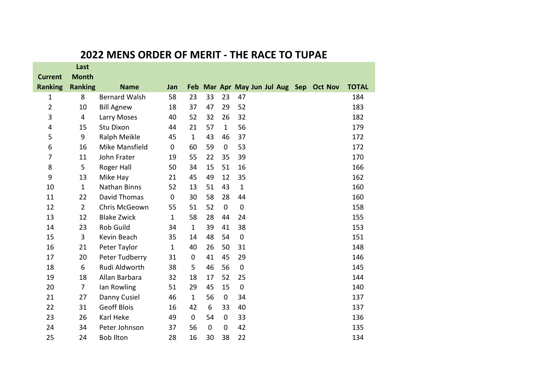|                | Last           |                      |              |              |             |              |                                         |  |              |
|----------------|----------------|----------------------|--------------|--------------|-------------|--------------|-----------------------------------------|--|--------------|
| <b>Current</b> | <b>Month</b>   |                      |              |              |             |              |                                         |  |              |
| <b>Ranking</b> | <b>Ranking</b> | <b>Name</b>          | Jan          |              |             |              | Feb Mar Apr May Jun Jul Aug Sep Oct Nov |  | <b>TOTAL</b> |
| 1              | 8              | <b>Bernard Walsh</b> | 58           | 23           | 33          | 23           | 47                                      |  | 184          |
| 2              | 10             | <b>Bill Agnew</b>    | 18           | 37           | 47          | 29           | 52                                      |  | 183          |
| 3              | 4              | Larry Moses          | 40           | 52           | 32          | 26           | 32                                      |  | 182          |
| 4              | 15             | <b>Stu Dixon</b>     | 44           | 21           | 57          | $\mathbf{1}$ | 56                                      |  | 179          |
| 5              | 9              | Ralph Meikle         | 45           | $\mathbf{1}$ | 43          | 46           | 37                                      |  | 172          |
| 6              | 16             | Mike Mansfield       | $\mathbf 0$  | 60           | 59          | 0            | 53                                      |  | 172          |
| 7              | 11             | John Frater          | 19           | 55           | 22          | 35           | 39                                      |  | 170          |
| 8              | 5              | Roger Hall           | 50           | 34           | 15          | 51           | 16                                      |  | 166          |
| 9              | 13             | Mike Hay             | 21           | 45           | 49          | 12           | 35                                      |  | 162          |
| 10             | $\mathbf{1}$   | <b>Nathan Binns</b>  | 52           | 13           | 51          | 43           | $\mathbf{1}$                            |  | 160          |
| 11             | 22             | David Thomas         | $\mathbf 0$  | 30           | 58          | 28           | 44                                      |  | 160          |
| 12             | $\overline{2}$ | Chris McGeown        | 55           | 51           | 52          | $\mathbf 0$  | $\mathbf 0$                             |  | 158          |
| 13             | 12             | <b>Blake Zwick</b>   | $\mathbf{1}$ | 58           | 28          | 44           | 24                                      |  | 155          |
| 14             | 23             | Rob Guild            | 34           | $\mathbf{1}$ | 39          | 41           | 38                                      |  | 153          |
| 15             | 3              | Kevin Beach          | 35           | 14           | 48          | 54           | 0                                       |  | 151          |
| 16             | 21             | Peter Taylor         | $\mathbf{1}$ | 40           | 26          | 50           | 31                                      |  | 148          |
| 17             | 20             | Peter Tudberry       | 31           | $\mathbf 0$  | 41          | 45           | 29                                      |  | 146          |
| 18             | 6              | Rudi Aldworth        | 38           | 5            | 46          | 56           | 0                                       |  | 145          |
| 19             | 18             | Allan Barbara        | 32           | 18           | 17          | 52           | 25                                      |  | 144          |
| 20             | $\overline{7}$ | lan Rowling          | 51           | 29           | 45          | 15           | $\pmb{0}$                               |  | 140          |
| 21             | 27             | Danny Cusiel         | 46           | $\mathbf{1}$ | 56          | 0            | 34                                      |  | 137          |
| 22             | 31             | <b>Geoff Blois</b>   | 16           | 42           | 6           | 33           | 40                                      |  | 137          |
| 23             | 26             | Karl Heke            | 49           | $\mathbf 0$  | 54          | $\mathbf 0$  | 33                                      |  | 136          |
| 24             | 34             | Peter Johnson        | 37           | 56           | $\mathbf 0$ | 0            | 42                                      |  | 135          |
| 25             | 24             | <b>Bob Ilton</b>     | 28           | 16           | 30          | 38           | 22                                      |  | 134          |

## **2022 MENS ORDER OF MERIT - THE RACE TO TUPAE**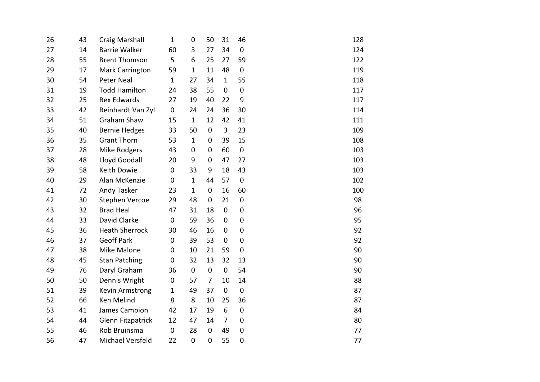| 26 | 43 | <b>Craig Marshall</b>    | $\mathbf{1}$ | 0            | 50             | 31           | 46               | 128 |
|----|----|--------------------------|--------------|--------------|----------------|--------------|------------------|-----|
| 27 | 14 | <b>Barrie Walker</b>     | 60           | 3            | 27             | 34           | $\pmb{0}$        | 124 |
| 28 | 55 | <b>Brent Thomson</b>     | 5            | 6            | 25             | 27           | 59               | 122 |
| 29 | 17 | Mark Carrington          | 59           | $\mathbf{1}$ | 11             | 48           | $\pmb{0}$        | 119 |
| 30 | 54 | Peter Neal               | $\mathbf 1$  | 27           | 34             | $\mathbf{1}$ | 55               | 118 |
| 31 | 19 | <b>Todd Hamilton</b>     | 24           | 38           | 55             | 0            | $\mathbf 0$      | 117 |
| 32 | 25 | <b>Rex Edwards</b>       | 27           | 19           | 40             | 22           | 9                | 117 |
| 33 | 42 | Reinhardt Van Zyl        | 0            | 24           | 24             | 36           | 30               | 114 |
| 34 | 51 | Graham Shaw              | 15           | $\mathbf{1}$ | 12             | 42           | 41               | 111 |
| 35 | 40 | <b>Bernie Hedges</b>     | 33           | 50           | 0              | 3            | 23               | 109 |
| 36 | 35 | <b>Grant Thorn</b>       | 53           | $\mathbf{1}$ | 0              | 39           | 15               | 108 |
| 37 | 28 | Mike Rodgers             | 43           | 0            | 0              | 60           | $\pmb{0}$        | 103 |
| 38 | 48 | Lloyd Goodall            | 20           | 9            | 0              | 47           | 27               | 103 |
| 39 | 58 | Keith Dowie              | $\mathbf 0$  | 33           | 9              | 18           | 43               | 103 |
| 40 | 29 | Alan McKenzie            | $\mathbf 0$  | $\mathbf{1}$ | 44             | 57           | $\pmb{0}$        | 102 |
| 41 | 72 | Andy Tasker              | 23           | $\mathbf{1}$ | 0              | 16           | 60               | 100 |
| 42 | 30 | <b>Stephen Vercoe</b>    | 29           | 48           | 0              | 21           | $\pmb{0}$        | 98  |
| 43 | 32 | <b>Brad Heal</b>         | 47           | 31           | 18             | $\pmb{0}$    | $\mathbf 0$      | 96  |
| 44 | 33 | David Clarke             | $\mathbf 0$  | 59           | 36             | 0            | $\mathbf 0$      | 95  |
| 45 | 36 | <b>Heath Sherrock</b>    | 30           | 46           | 16             | 0            | $\mathbf 0$      | 92  |
| 46 | 37 | <b>Geoff Park</b>        | 0            | 39           | 53             | 0            | $\boldsymbol{0}$ | 92  |
| 47 | 38 | Mike Malone              | 0            | 10           | 21             | 59           | $\mathbf 0$      | 90  |
| 48 | 45 | <b>Stan Patching</b>     | 0            | 32           | 13             | 32           | 13               | 90  |
| 49 | 76 | Daryl Graham             | 36           | $\mathbf 0$  | 0              | $\mathbf 0$  | 54               | 90  |
| 50 | 50 | Dennis Wright            | 0            | 57           | $\overline{7}$ | 10           | 14               | 88  |
| 51 | 39 | Kevin Armstrong          | $\mathbf 1$  | 49           | 37             | $\mathbf 0$  | $\pmb{0}$        | 87  |
| 52 | 66 | Ken Melind               | 8            | 8            | 10             | 25           | 36               | 87  |
| 53 | 41 | James Campion            | 42           | 17           | 19             | 6            | $\pmb{0}$        | 84  |
| 54 | 44 | <b>Glenn Fitzpatrick</b> | 12           | 47           | 14             | 7            | $\mathbf 0$      | 80  |
| 55 | 46 | Rob Bruinsma             | $\mathbf 0$  | 28           | $\overline{0}$ | 49           | $\mathbf 0$      | 77  |
| 56 | 47 | Michael Versfeld         | 22           | $\mathbf 0$  | 0              | 55           | $\mathbf 0$      | 77  |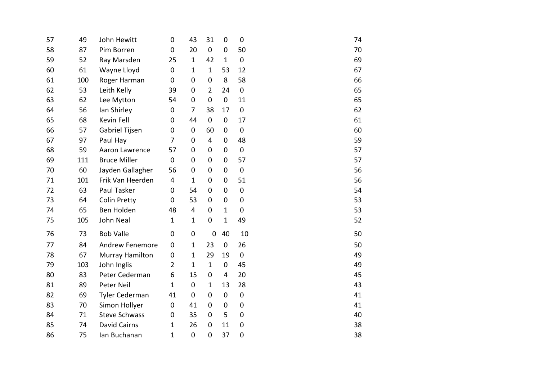| 57 | 49  | John Hewitt            | 0              | 43             | 31             | $\overline{0}$ | $\mathbf 0$ | 74 |
|----|-----|------------------------|----------------|----------------|----------------|----------------|-------------|----|
| 58 | 87  | Pim Borren             | $\mathbf 0$    | 20             | $\mathbf 0$    | $\mathbf 0$    | 50          | 70 |
| 59 | 52  | Ray Marsden            | 25             | $\mathbf{1}$   | 42             | $\mathbf 1$    | $\pmb{0}$   | 69 |
| 60 | 61  | Wayne Lloyd            | $\pmb{0}$      | $\mathbf{1}$   | $\mathbf{1}$   | 53             | 12          | 67 |
| 61 | 100 | Roger Harman           | $\mathbf 0$    | 0              | $\mathbf 0$    | 8              | 58          | 66 |
| 62 | 53  | Leith Kelly            | 39             | 0              | $\overline{2}$ | 24             | $\mathbf 0$ | 65 |
| 63 | 62  | Lee Mytton             | 54             | $\mathbf 0$    | $\mathbf 0$    | $\pmb{0}$      | 11          | 65 |
| 64 | 56  | lan Shirley            | $\mathbf 0$    | $\overline{7}$ | 38             | 17             | $\mathbf 0$ | 62 |
| 65 | 68  | Kevin Fell             | 0              | 44             | $\mathbf 0$    | $\mathbf 0$    | 17          | 61 |
| 66 | 57  | Gabriel Tijsen         | 0              | $\mathbf 0$    | 60             | $\mathbf 0$    | $\mathbf 0$ | 60 |
| 67 | 97  | Paul Hay               | 7              | $\mathbf 0$    | 4              | 0              | 48          | 59 |
| 68 | 59  | Aaron Lawrence         | 57             | 0              | 0              | 0              | $\pmb{0}$   | 57 |
| 69 | 111 | <b>Bruce Miller</b>    | $\mathbf 0$    | $\mathbf 0$    | $\overline{0}$ | $\mathbf 0$    | 57          | 57 |
| 70 | 60  | Jayden Gallagher       | 56             | $\mathbf 0$    | $\overline{0}$ | $\mathbf 0$    | $\mathbf 0$ | 56 |
| 71 | 101 | Frik Van Heerden       | 4              | $\mathbf{1}$   | $\overline{0}$ | $\mathbf 0$    | 51          | 56 |
| 72 | 63  | Paul Tasker            | 0              | 54             | 0              | 0              | $\mathbf 0$ | 54 |
| 73 | 64  | <b>Colin Pretty</b>    | $\mathbf 0$    | 53             | 0              | 0              | $\mathbf 0$ | 53 |
| 74 | 65  | Ben Holden             | 48             | $\overline{4}$ | $\overline{0}$ | $\mathbf 1$    | $\mathbf 0$ | 53 |
| 75 | 105 | <b>John Neal</b>       | $\mathbf{1}$   | $\mathbf{1}$   | $\mathbf 0$    | $\mathbf{1}$   | 49          | 52 |
| 76 | 73  | <b>Bob Valle</b>       | $\mathbf 0$    | 0              | $\mathbf 0$    | 40             | 10          | 50 |
| 77 | 84  | <b>Andrew Fenemore</b> | $\pmb{0}$      | $\mathbf{1}$   | 23             | 0              | 26          | 50 |
| 78 | 67  | <b>Murray Hamilton</b> | 0              | $\mathbf{1}$   | 29             | 19             | $\mathbf 0$ | 49 |
| 79 | 103 | John Inglis            | $\overline{2}$ | $\mathbf{1}$   | $\mathbf{1}$   | $\mathbf 0$    | 45          | 49 |
| 80 | 83  | Peter Cederman         | 6              | 15             | 0              | $\overline{4}$ | 20          | 45 |
| 81 | 89  | Peter Neil             | 1              | $\mathbf 0$    | $\mathbf{1}$   | 13             | 28          | 43 |
| 82 | 69  | Tyler Cederman         | 41             | $\mathbf 0$    | $\overline{0}$ | $\mathbf 0$    | $\pmb{0}$   | 41 |
| 83 | 70  | Simon Hollyer          | $\mathbf 0$    | 41             | $\overline{0}$ | $\mathbf 0$    | $\mathbf 0$ | 41 |
| 84 | 71  | <b>Steve Schwass</b>   | $\mathbf 0$    | 35             | 0              | 5              | $\pmb{0}$   | 40 |
| 85 | 74  | <b>David Cairns</b>    | 1              | 26             | 0              | 11             | 0           | 38 |
| 86 | 75  | Ian Buchanan           | 1              | $\mathbf 0$    | $\mathbf 0$    | 37             | $\mathbf 0$ | 38 |